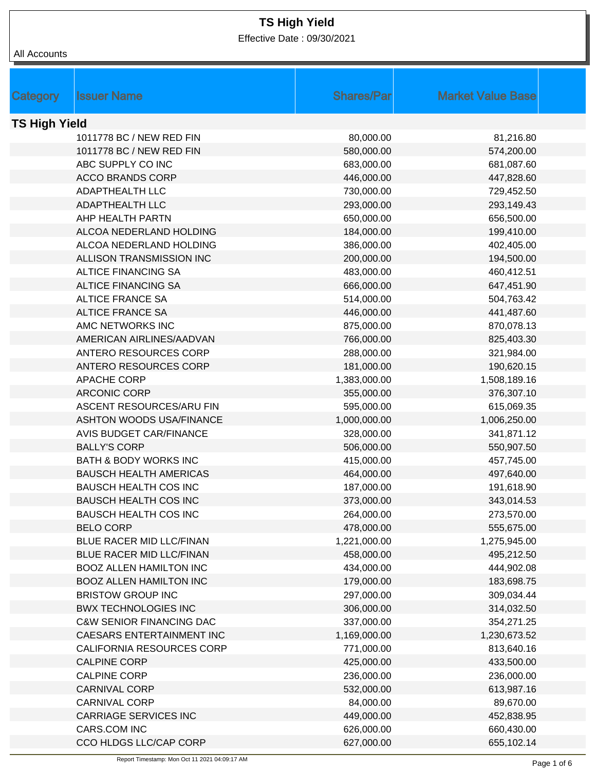Effective Date : 09/30/2021

| All Accounts |
|--------------|
|--------------|

| Category             | <b>Issuer Name</b>                  | <b>Shares/Par</b> | <b>Market Value Base</b> |  |
|----------------------|-------------------------------------|-------------------|--------------------------|--|
|                      |                                     |                   |                          |  |
| <b>TS High Yield</b> |                                     |                   |                          |  |
|                      | 1011778 BC / NEW RED FIN            | 80,000.00         | 81,216.80                |  |
|                      | 1011778 BC / NEW RED FIN            | 580,000.00        | 574,200.00               |  |
|                      | ABC SUPPLY CO INC                   | 683,000.00        | 681,087.60               |  |
|                      | <b>ACCO BRANDS CORP</b>             | 446,000.00        | 447,828.60               |  |
|                      | <b>ADAPTHEALTH LLC</b>              | 730,000.00        | 729,452.50               |  |
|                      | ADAPTHEALTH LLC                     | 293,000.00        | 293,149.43               |  |
|                      | AHP HEALTH PARTN                    | 650,000.00        | 656,500.00               |  |
|                      | ALCOA NEDERLAND HOLDING             | 184,000.00        | 199,410.00               |  |
|                      | ALCOA NEDERLAND HOLDING             | 386,000.00        | 402,405.00               |  |
|                      | ALLISON TRANSMISSION INC            | 200,000.00        | 194,500.00               |  |
|                      | <b>ALTICE FINANCING SA</b>          | 483,000.00        | 460,412.51               |  |
|                      | <b>ALTICE FINANCING SA</b>          | 666,000.00        | 647,451.90               |  |
|                      | <b>ALTICE FRANCE SA</b>             | 514,000.00        | 504,763.42               |  |
|                      | <b>ALTICE FRANCE SA</b>             | 446,000.00        | 441,487.60               |  |
|                      | AMC NETWORKS INC                    | 875,000.00        | 870,078.13               |  |
|                      | AMERICAN AIRLINES/AADVAN            | 766,000.00        | 825,403.30               |  |
|                      | ANTERO RESOURCES CORP               | 288,000.00        | 321,984.00               |  |
|                      | ANTERO RESOURCES CORP               | 181,000.00        | 190,620.15               |  |
|                      | APACHE CORP                         | 1,383,000.00      | 1,508,189.16             |  |
|                      | <b>ARCONIC CORP</b>                 | 355,000.00        | 376,307.10               |  |
|                      | ASCENT RESOURCES/ARU FIN            | 595,000.00        | 615,069.35               |  |
|                      | <b>ASHTON WOODS USA/FINANCE</b>     | 1,000,000.00      | 1,006,250.00             |  |
|                      | <b>AVIS BUDGET CAR/FINANCE</b>      | 328,000.00        | 341,871.12               |  |
|                      | <b>BALLY'S CORP</b>                 | 506,000.00        | 550,907.50               |  |
|                      | <b>BATH &amp; BODY WORKS INC</b>    | 415,000.00        | 457,745.00               |  |
|                      | <b>BAUSCH HEALTH AMERICAS</b>       | 464,000.00        | 497,640.00               |  |
|                      | <b>BAUSCH HEALTH COS INC</b>        | 187,000.00        | 191,618.90               |  |
|                      | <b>BAUSCH HEALTH COS INC</b>        | 373,000.00        | 343,014.53               |  |
|                      | <b>BAUSCH HEALTH COS INC</b>        | 264,000.00        | 273,570.00               |  |
|                      | <b>BELO CORP</b>                    | 478,000.00        | 555,675.00               |  |
|                      | BLUE RACER MID LLC/FINAN            | 1,221,000.00      | 1,275,945.00             |  |
|                      | BLUE RACER MID LLC/FINAN            | 458,000.00        | 495,212.50               |  |
|                      | <b>BOOZ ALLEN HAMILTON INC</b>      | 434,000.00        | 444,902.08               |  |
|                      | <b>BOOZ ALLEN HAMILTON INC</b>      | 179,000.00        | 183,698.75               |  |
|                      | <b>BRISTOW GROUP INC</b>            | 297,000.00        | 309,034.44               |  |
|                      | <b>BWX TECHNOLOGIES INC</b>         | 306,000.00        | 314,032.50               |  |
|                      | <b>C&amp;W SENIOR FINANCING DAC</b> | 337,000.00        | 354,271.25               |  |
|                      | CAESARS ENTERTAINMENT INC           | 1,169,000.00      | 1,230,673.52             |  |
|                      | CALIFORNIA RESOURCES CORP           | 771,000.00        | 813,640.16               |  |
|                      | <b>CALPINE CORP</b>                 | 425,000.00        | 433,500.00               |  |
|                      | <b>CALPINE CORP</b>                 | 236,000.00        | 236,000.00               |  |
|                      | <b>CARNIVAL CORP</b>                | 532,000.00        | 613,987.16               |  |
|                      | <b>CARNIVAL CORP</b>                | 84,000.00         | 89,670.00                |  |
|                      | <b>CARRIAGE SERVICES INC</b>        | 449,000.00        | 452,838.95               |  |
|                      | CARS.COM INC                        | 626,000.00        | 660,430.00               |  |
|                      | CCO HLDGS LLC/CAP CORP              | 627,000.00        | 655,102.14               |  |
|                      |                                     |                   |                          |  |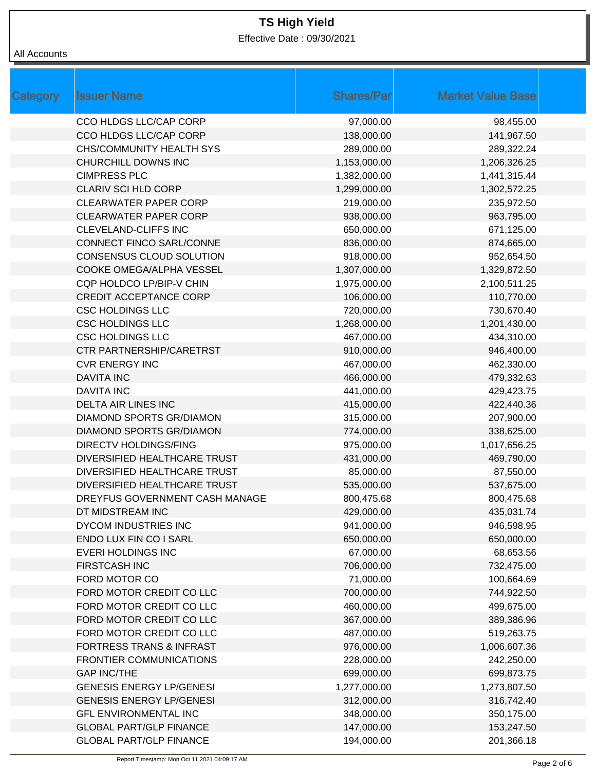Effective Date : 09/30/2021

| Category | <b>Issuer Name</b>                  | <b>Shares/Par</b> | <b>Market Value Base</b> |
|----------|-------------------------------------|-------------------|--------------------------|
|          | CCO HLDGS LLC/CAP CORP              | 97,000.00         | 98,455.00                |
|          | CCO HLDGS LLC/CAP CORP              | 138,000.00        | 141,967.50               |
|          | <b>CHS/COMMUNITY HEALTH SYS</b>     | 289,000.00        | 289,322.24               |
|          | CHURCHILL DOWNS INC                 | 1,153,000.00      | 1,206,326.25             |
|          | <b>CIMPRESS PLC</b>                 | 1,382,000.00      | 1,441,315.44             |
|          | <b>CLARIV SCI HLD CORP</b>          | 1,299,000.00      | 1,302,572.25             |
|          | <b>CLEARWATER PAPER CORP</b>        | 219,000.00        | 235,972.50               |
|          | <b>CLEARWATER PAPER CORP</b>        | 938,000.00        | 963,795.00               |
|          | <b>CLEVELAND-CLIFFS INC</b>         | 650,000.00        | 671,125.00               |
|          | CONNECT FINCO SARL/CONNE            | 836,000.00        | 874,665.00               |
|          | CONSENSUS CLOUD SOLUTION            | 918,000.00        | 952,654.50               |
|          | COOKE OMEGA/ALPHA VESSEL            | 1,307,000.00      | 1,329,872.50             |
|          | CQP HOLDCO LP/BIP-V CHIN            | 1,975,000.00      | 2,100,511.25             |
|          | <b>CREDIT ACCEPTANCE CORP</b>       | 106,000.00        | 110,770.00               |
|          | <b>CSC HOLDINGS LLC</b>             | 720,000.00        | 730,670.40               |
|          | <b>CSC HOLDINGS LLC</b>             | 1,268,000.00      | 1,201,430.00             |
|          | <b>CSC HOLDINGS LLC</b>             | 467,000.00        | 434,310.00               |
|          | CTR PARTNERSHIP/CARETRST            | 910,000.00        | 946,400.00               |
|          | <b>CVR ENERGY INC</b>               | 467,000.00        | 462,330.00               |
|          | <b>DAVITA INC</b>                   | 466,000.00        | 479,332.63               |
|          | <b>DAVITA INC</b>                   | 441,000.00        | 429,423.75               |
|          | <b>DELTA AIR LINES INC</b>          | 415,000.00        | 422,440.36               |
|          | <b>DIAMOND SPORTS GR/DIAMON</b>     | 315,000.00        | 207,900.00               |
|          | <b>DIAMOND SPORTS GR/DIAMON</b>     | 774,000.00        | 338,625.00               |
|          | <b>DIRECTV HOLDINGS/FING</b>        | 975,000.00        | 1,017,656.25             |
|          | <b>DIVERSIFIED HEALTHCARE TRUST</b> | 431,000.00        | 469,790.00               |
|          | <b>DIVERSIFIED HEALTHCARE TRUST</b> | 85,000.00         | 87,550.00                |
|          | DIVERSIFIED HEALTHCARE TRUST        | 535,000.00        | 537,675.00               |
|          | DREYFUS GOVERNMENT CASH MANAGE      | 800,475.68        | 800,475.68               |
|          | DT MIDSTREAM INC                    | 429,000.00        | 435,031.74               |
|          | <b>DYCOM INDUSTRIES INC</b>         | 941,000.00        | 946,598.95               |
|          | ENDO LUX FIN CO I SARL              | 650,000.00        | 650,000.00               |
|          | <b>EVERI HOLDINGS INC</b>           | 67,000.00         | 68,653.56                |
|          | <b>FIRSTCASH INC</b>                | 706,000.00        | 732,475.00               |
|          | FORD MOTOR CO                       | 71,000.00         | 100,664.69               |
|          | FORD MOTOR CREDIT CO LLC            | 700,000.00        | 744,922.50               |
|          | FORD MOTOR CREDIT CO LLC            | 460,000.00        | 499,675.00               |
|          | FORD MOTOR CREDIT CO LLC            | 367,000.00        | 389,386.96               |
|          | FORD MOTOR CREDIT CO LLC            | 487,000.00        | 519,263.75               |
|          | <b>FORTRESS TRANS &amp; INFRAST</b> | 976,000.00        | 1,006,607.36             |
|          | FRONTIER COMMUNICATIONS             | 228,000.00        | 242,250.00               |
|          | <b>GAP INC/THE</b>                  | 699,000.00        | 699,873.75               |
|          | <b>GENESIS ENERGY LP/GENESI</b>     | 1,277,000.00      | 1,273,807.50             |
|          | <b>GENESIS ENERGY LP/GENESI</b>     | 312,000.00        | 316,742.40               |
|          | <b>GFL ENVIRONMENTAL INC</b>        | 348,000.00        | 350,175.00               |
|          | <b>GLOBAL PART/GLP FINANCE</b>      | 147,000.00        | 153,247.50               |
|          | <b>GLOBAL PART/GLP FINANCE</b>      | 194,000.00        | 201,366.18               |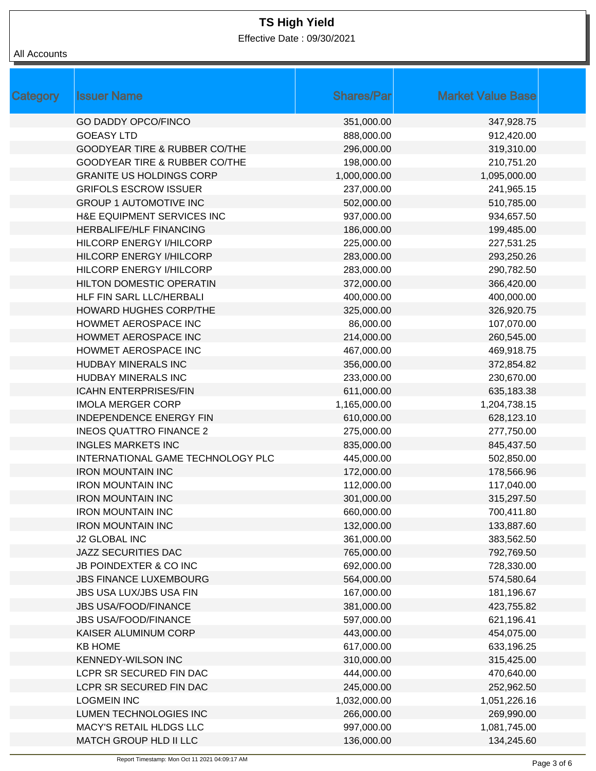Effective Date : 09/30/2021

| Category | <b>Issuer Name</b>                | <b>Shares/Par</b> | <b>Market Value Base</b> |
|----------|-----------------------------------|-------------------|--------------------------|
|          | <b>GO DADDY OPCO/FINCO</b>        | 351,000.00        | 347,928.75               |
|          | <b>GOEASY LTD</b>                 | 888,000.00        | 912,420.00               |
|          | GOODYEAR TIRE & RUBBER CO/THE     | 296,000.00        | 319,310.00               |
|          | GOODYEAR TIRE & RUBBER CO/THE     | 198,000.00        | 210,751.20               |
|          | <b>GRANITE US HOLDINGS CORP</b>   | 1,000,000.00      | 1,095,000.00             |
|          | <b>GRIFOLS ESCROW ISSUER</b>      | 237,000.00        | 241,965.15               |
|          | <b>GROUP 1 AUTOMOTIVE INC</b>     | 502,000.00        | 510,785.00               |
|          | H&E EQUIPMENT SERVICES INC        | 937,000.00        | 934,657.50               |
|          | <b>HERBALIFE/HLF FINANCING</b>    | 186,000.00        | 199,485.00               |
|          | <b>HILCORP ENERGY I/HILCORP</b>   | 225,000.00        | 227,531.25               |
|          | HILCORP ENERGY I/HILCORP          | 283,000.00        | 293,250.26               |
|          | <b>HILCORP ENERGY I/HILCORP</b>   | 283,000.00        | 290,782.50               |
|          | <b>HILTON DOMESTIC OPERATIN</b>   | 372,000.00        | 366,420.00               |
|          | HLF FIN SARL LLC/HERBALI          | 400,000.00        | 400,000.00               |
|          | <b>HOWARD HUGHES CORP/THE</b>     | 325,000.00        | 326,920.75               |
|          | HOWMET AEROSPACE INC              | 86,000.00         | 107,070.00               |
|          | HOWMET AEROSPACE INC              | 214,000.00        | 260,545.00               |
|          | HOWMET AEROSPACE INC              | 467,000.00        | 469,918.75               |
|          | <b>HUDBAY MINERALS INC</b>        | 356,000.00        | 372,854.82               |
|          | HUDBAY MINERALS INC               | 233,000.00        | 230,670.00               |
|          | <b>ICAHN ENTERPRISES/FIN</b>      | 611,000.00        | 635,183.38               |
|          | <b>IMOLA MERGER CORP</b>          | 1,165,000.00      | 1,204,738.15             |
|          | <b>INDEPENDENCE ENERGY FIN</b>    | 610,000.00        | 628,123.10               |
|          | <b>INEOS QUATTRO FINANCE 2</b>    | 275,000.00        | 277,750.00               |
|          | <b>INGLES MARKETS INC</b>         | 835,000.00        | 845,437.50               |
|          | INTERNATIONAL GAME TECHNOLOGY PLC | 445,000.00        | 502,850.00               |
|          | <b>IRON MOUNTAIN INC</b>          | 172,000.00        | 178,566.96               |
|          | <b>IRON MOUNTAIN INC</b>          | 112,000.00        | 117,040.00               |
|          | <b>IRON MOUNTAIN INC</b>          | 301,000.00        | 315,297.50               |
|          | <b>IRON MOUNTAIN INC</b>          | 660,000.00        | 700,411.80               |
|          | <b>IRON MOUNTAIN INC</b>          | 132,000.00        | 133,887.60               |
|          | <b>J2 GLOBAL INC</b>              | 361,000.00        | 383,562.50               |
|          | JAZZ SECURITIES DAC               | 765,000.00        | 792,769.50               |
|          | JB POINDEXTER & CO INC            | 692,000.00        | 728,330.00               |
|          | <b>JBS FINANCE LUXEMBOURG</b>     | 564,000.00        | 574,580.64               |
|          | JBS USA LUX/JBS USA FIN           | 167,000.00        | 181,196.67               |
|          | <b>JBS USA/FOOD/FINANCE</b>       | 381,000.00        | 423,755.82               |
|          | <b>JBS USA/FOOD/FINANCE</b>       | 597,000.00        | 621,196.41               |
|          | KAISER ALUMINUM CORP              | 443,000.00        | 454,075.00               |
|          | <b>KB HOME</b>                    | 617,000.00        | 633,196.25               |
|          | <b>KENNEDY-WILSON INC</b>         | 310,000.00        | 315,425.00               |
|          | LCPR SR SECURED FIN DAC           | 444,000.00        | 470,640.00               |
|          | LCPR SR SECURED FIN DAC           | 245,000.00        | 252,962.50               |
|          | <b>LOGMEIN INC</b>                | 1,032,000.00      | 1,051,226.16             |
|          | LUMEN TECHNOLOGIES INC            | 266,000.00        | 269,990.00               |
|          | MACY'S RETAIL HLDGS LLC           | 997,000.00        | 1,081,745.00             |
|          | MATCH GROUP HLD II LLC            | 136,000.00        | 134,245.60               |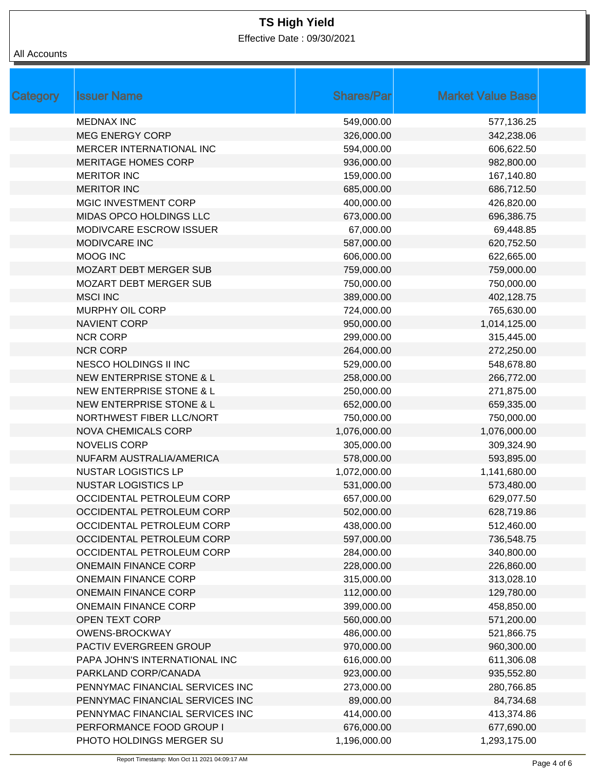Effective Date : 09/30/2021

| All Accounts |
|--------------|
|              |

| Category | <b>Issuer Name</b>                  | <b>Shares/Par</b> | <b>Market Value Base</b> |
|----------|-------------------------------------|-------------------|--------------------------|
|          | <b>MEDNAX INC</b>                   | 549,000.00        | 577,136.25               |
|          | <b>MEG ENERGY CORP</b>              | 326,000.00        | 342,238.06               |
|          | MERCER INTERNATIONAL INC            | 594,000.00        | 606,622.50               |
|          | <b>MERITAGE HOMES CORP</b>          | 936,000.00        | 982,800.00               |
|          | <b>MERITOR INC</b>                  | 159,000.00        | 167,140.80               |
|          | <b>MERITOR INC</b>                  | 685,000.00        | 686,712.50               |
|          | MGIC INVESTMENT CORP                | 400,000.00        | 426,820.00               |
|          | MIDAS OPCO HOLDINGS LLC             | 673,000.00        | 696,386.75               |
|          | MODIVCARE ESCROW ISSUER             | 67,000.00         | 69,448.85                |
|          | MODIVCARE INC                       | 587,000.00        | 620,752.50               |
|          | MOOG INC                            | 606,000.00        | 622,665.00               |
|          | <b>MOZART DEBT MERGER SUB</b>       | 759,000.00        | 759,000.00               |
|          | <b>MOZART DEBT MERGER SUB</b>       | 750,000.00        | 750,000.00               |
|          | <b>MSCI INC</b>                     | 389,000.00        | 402,128.75               |
|          | <b>MURPHY OIL CORP</b>              | 724,000.00        | 765,630.00               |
|          | <b>NAVIENT CORP</b>                 | 950,000.00        | 1,014,125.00             |
|          | <b>NCR CORP</b>                     | 299,000.00        | 315,445.00               |
|          | <b>NCR CORP</b>                     | 264,000.00        | 272,250.00               |
|          | NESCO HOLDINGS II INC               | 529,000.00        | 548,678.80               |
|          | NEW ENTERPRISE STONE & L            | 258,000.00        | 266,772.00               |
|          | <b>NEW ENTERPRISE STONE &amp; L</b> | 250,000.00        | 271,875.00               |
|          | <b>NEW ENTERPRISE STONE &amp; L</b> | 652,000.00        | 659,335.00               |
|          | NORTHWEST FIBER LLC/NORT            | 750,000.00        | 750,000.00               |
|          | <b>NOVA CHEMICALS CORP</b>          | 1,076,000.00      | 1,076,000.00             |
|          | <b>NOVELIS CORP</b>                 | 305,000.00        | 309,324.90               |
|          | NUFARM AUSTRALIA/AMERICA            | 578,000.00        | 593,895.00               |
|          | <b>NUSTAR LOGISTICS LP</b>          | 1,072,000.00      | 1,141,680.00             |
|          | <b>NUSTAR LOGISTICS LP</b>          | 531,000.00        | 573,480.00               |
|          | OCCIDENTAL PETROLEUM CORP           | 657,000.00        | 629,077.50               |
|          | OCCIDENTAL PETROLEUM CORP           | 502,000.00        | 628,719.86               |
|          | OCCIDENTAL PETROLEUM CORP           | 438,000.00        | 512,460.00               |
|          | OCCIDENTAL PETROLEUM CORP           | 597,000.00        | 736,548.75               |
|          | OCCIDENTAL PETROLEUM CORP           | 284,000.00        | 340,800.00               |
|          | <b>ONEMAIN FINANCE CORP</b>         | 228,000.00        | 226,860.00               |
|          | <b>ONEMAIN FINANCE CORP</b>         | 315,000.00        | 313,028.10               |
|          | <b>ONEMAIN FINANCE CORP</b>         | 112,000.00        | 129,780.00               |
|          | <b>ONEMAIN FINANCE CORP</b>         | 399,000.00        | 458,850.00               |
|          | <b>OPEN TEXT CORP</b>               | 560,000.00        | 571,200.00               |
|          | <b>OWENS-BROCKWAY</b>               | 486,000.00        | 521,866.75               |
|          | PACTIV EVERGREEN GROUP              | 970,000.00        | 960,300.00               |
|          | PAPA JOHN'S INTERNATIONAL INC       | 616,000.00        | 611,306.08               |
|          | PARKLAND CORP/CANADA                | 923,000.00        | 935,552.80               |
|          | PENNYMAC FINANCIAL SERVICES INC     | 273,000.00        | 280,766.85               |
|          | PENNYMAC FINANCIAL SERVICES INC     | 89,000.00         | 84,734.68                |
|          | PENNYMAC FINANCIAL SERVICES INC     | 414,000.00        | 413,374.86               |
|          | PERFORMANCE FOOD GROUP I            | 676,000.00        | 677,690.00               |
|          | PHOTO HOLDINGS MERGER SU            | 1,196,000.00      | 1,293,175.00             |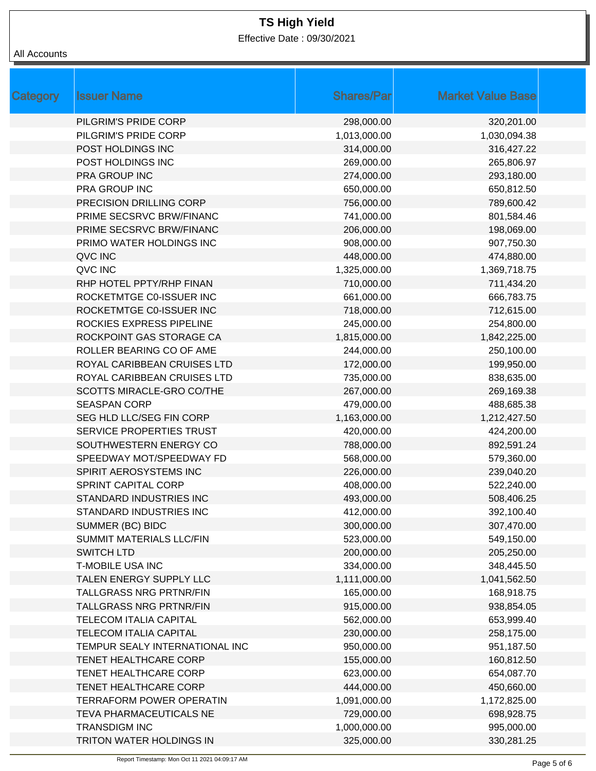Effective Date : 09/30/2021

| Category | <b>Issuer Name</b>              | <b>Shares/Par</b> | <b>Market Value Base</b> |
|----------|---------------------------------|-------------------|--------------------------|
|          | PILGRIM'S PRIDE CORP            | 298,000.00        | 320,201.00               |
|          | PILGRIM'S PRIDE CORP            | 1,013,000.00      | 1,030,094.38             |
|          | POST HOLDINGS INC               | 314,000.00        | 316,427.22               |
|          | POST HOLDINGS INC               | 269,000.00        | 265,806.97               |
|          | PRA GROUP INC                   | 274,000.00        | 293,180.00               |
|          | PRA GROUP INC                   | 650,000.00        | 650,812.50               |
|          | PRECISION DRILLING CORP         | 756,000.00        | 789,600.42               |
|          | PRIME SECSRVC BRW/FINANC        | 741,000.00        | 801,584.46               |
|          | <b>PRIME SECSRVC BRW/FINANC</b> | 206,000.00        | 198,069.00               |
|          | PRIMO WATER HOLDINGS INC        | 908,000.00        | 907,750.30               |
|          | QVC INC                         | 448,000.00        | 474,880.00               |
|          | QVC INC                         | 1,325,000.00      | 1,369,718.75             |
|          | RHP HOTEL PPTY/RHP FINAN        | 710,000.00        | 711,434.20               |
|          | ROCKETMTGE C0-ISSUER INC        | 661,000.00        | 666,783.75               |
|          | ROCKETMTGE C0-ISSUER INC        | 718,000.00        | 712,615.00               |
|          | ROCKIES EXPRESS PIPELINE        | 245,000.00        | 254,800.00               |
|          | ROCKPOINT GAS STORAGE CA        | 1,815,000.00      | 1,842,225.00             |
|          | ROLLER BEARING CO OF AME        | 244,000.00        | 250,100.00               |
|          | ROYAL CARIBBEAN CRUISES LTD     | 172,000.00        | 199,950.00               |
|          | ROYAL CARIBBEAN CRUISES LTD     | 735,000.00        | 838,635.00               |
|          | SCOTTS MIRACLE-GRO CO/THE       | 267,000.00        | 269,169.38               |
|          | <b>SEASPAN CORP</b>             | 479,000.00        | 488,685.38               |
|          | SEG HLD LLC/SEG FIN CORP        | 1,163,000.00      | 1,212,427.50             |
|          | SERVICE PROPERTIES TRUST        | 420,000.00        | 424,200.00               |
|          | SOUTHWESTERN ENERGY CO          | 788,000.00        | 892,591.24               |
|          | SPEEDWAY MOT/SPEEDWAY FD        | 568,000.00        | 579,360.00               |
|          | SPIRIT AEROSYSTEMS INC          | 226,000.00        | 239,040.20               |
|          | <b>SPRINT CAPITAL CORP</b>      | 408,000.00        | 522,240.00               |
|          | STANDARD INDUSTRIES INC         | 493,000.00        | 508,406.25               |
|          | STANDARD INDUSTRIES INC         | 412,000.00        | 392,100.40               |
|          | SUMMER (BC) BIDC                | 300,000.00        | 307,470.00               |
|          | SUMMIT MATERIALS LLC/FIN        | 523,000.00        | 549,150.00               |
|          | <b>SWITCH LTD</b>               | 200,000.00        | 205,250.00               |
|          | <b>T-MOBILE USA INC</b>         | 334,000.00        | 348,445.50               |
|          | TALEN ENERGY SUPPLY LLC         | 1,111,000.00      | 1,041,562.50             |
|          | <b>TALLGRASS NRG PRTNR/FIN</b>  | 165,000.00        | 168,918.75               |
|          | <b>TALLGRASS NRG PRTNR/FIN</b>  | 915,000.00        | 938,854.05               |
|          | <b>TELECOM ITALIA CAPITAL</b>   | 562,000.00        | 653,999.40               |
|          | <b>TELECOM ITALIA CAPITAL</b>   | 230,000.00        | 258,175.00               |
|          | TEMPUR SEALY INTERNATIONAL INC  | 950,000.00        | 951,187.50               |
|          | TENET HEALTHCARE CORP           | 155,000.00        | 160,812.50               |
|          | TENET HEALTHCARE CORP           | 623,000.00        | 654,087.70               |
|          | TENET HEALTHCARE CORP           | 444,000.00        | 450,660.00               |
|          | <b>TERRAFORM POWER OPERATIN</b> | 1,091,000.00      | 1,172,825.00             |
|          | TEVA PHARMACEUTICALS NE         | 729,000.00        | 698,928.75               |
|          | <b>TRANSDIGM INC</b>            | 1,000,000.00      | 995,000.00               |
|          | TRITON WATER HOLDINGS IN        | 325,000.00        | 330,281.25               |